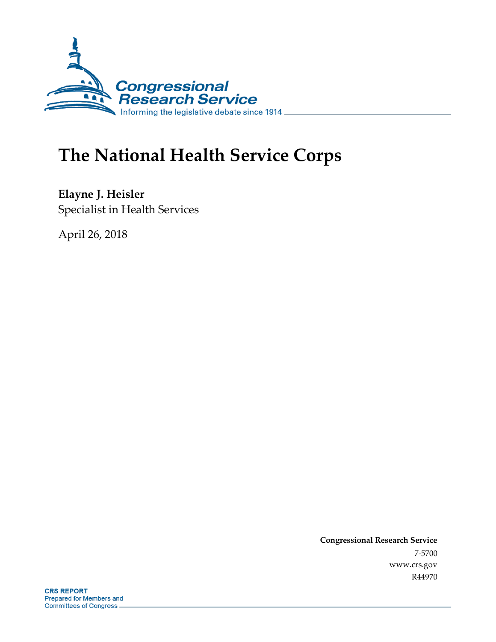

# **The National Health Service Corps**

**Elayne J. Heisler** Specialist in Health Services

April 26, 2018

**Congressional Research Service** 7-5700 www.crs.gov R44970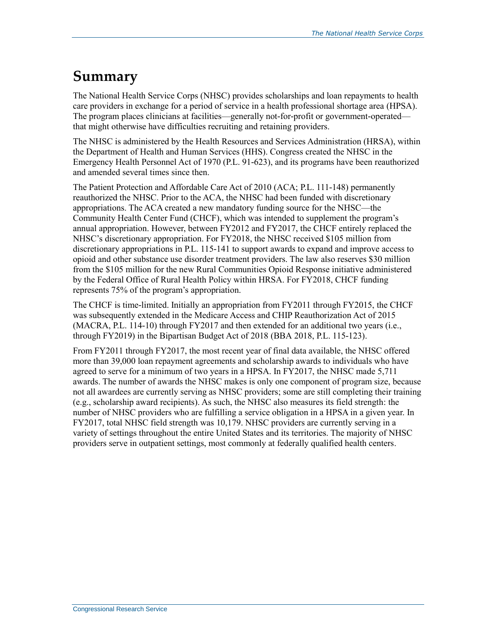## **Summary**

The National Health Service Corps (NHSC) provides scholarships and loan repayments to health care providers in exchange for a period of service in a health professional shortage area (HPSA). The program places clinicians at facilities—generally not-for-profit or government-operated that might otherwise have difficulties recruiting and retaining providers.

The NHSC is administered by the Health Resources and Services Administration (HRSA), within the Department of Health and Human Services (HHS). Congress created the NHSC in the Emergency Health Personnel Act of 1970 (P.L. 91-623), and its programs have been reauthorized and amended several times since then.

The Patient Protection and Affordable Care Act of 2010 (ACA; P.L. 111-148) permanently reauthorized the NHSC. Prior to the ACA, the NHSC had been funded with discretionary appropriations. The ACA created a new mandatory funding source for the NHSC—the Community Health Center Fund (CHCF), which was intended to supplement the program's annual appropriation. However, between FY2012 and FY2017, the CHCF entirely replaced the NHSC's discretionary appropriation. For FY2018, the NHSC received \$105 million from discretionary appropriations in P.L. 115-141 to support awards to expand and improve access to opioid and other substance use disorder treatment providers. The law also reserves \$30 million from the \$105 million for the new Rural Communities Opioid Response initiative administered by the Federal Office of Rural Health Policy within HRSA. For FY2018, CHCF funding represents 75% of the program's appropriation.

The CHCF is time-limited. Initially an appropriation from FY2011 through FY2015, the CHCF was subsequently extended in the Medicare Access and CHIP Reauthorization Act of 2015 (MACRA, P.L. 114-10) through FY2017 and then extended for an additional two years (i.e., through FY2019) in the Bipartisan Budget Act of 2018 (BBA 2018, P.L. 115-123).

From FY2011 through FY2017, the most recent year of final data available, the NHSC offered more than 39,000 loan repayment agreements and scholarship awards to individuals who have agreed to serve for a minimum of two years in a HPSA. In FY2017, the NHSC made 5,711 awards. The number of awards the NHSC makes is only one component of program size, because not all awardees are currently serving as NHSC providers; some are still completing their training (e.g., scholarship award recipients). As such, the NHSC also measures its field strength: the number of NHSC providers who are fulfilling a service obligation in a HPSA in a given year. In FY2017, total NHSC field strength was 10,179. NHSC providers are currently serving in a variety of settings throughout the entire United States and its territories. The majority of NHSC providers serve in outpatient settings, most commonly at federally qualified health centers.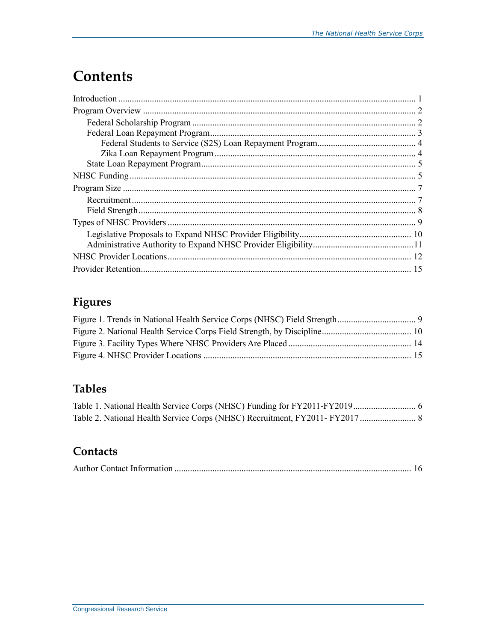## **Contents**

### **Figures**

### **Tables**

### Contacts

|--|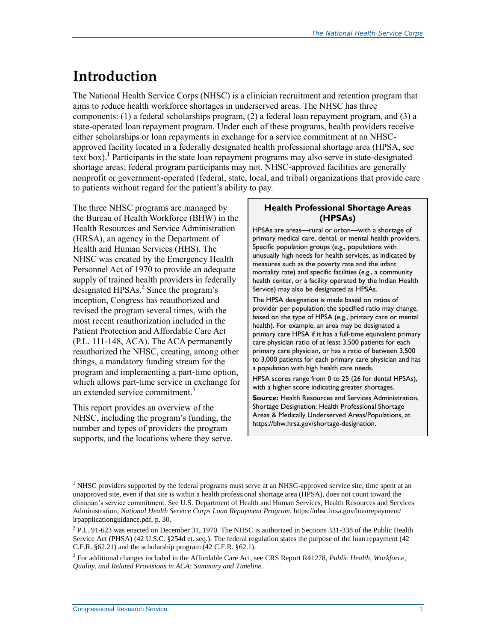## **Introduction**

The National Health Service Corps (NHSC) is a clinician recruitment and retention program that aims to reduce health workforce shortages in underserved areas. The NHSC has three components: (1) a federal scholarships program, (2) a federal loan repayment program, and (3) a state-operated loan repayment program. Under each of these programs, health providers receive either scholarships or loan repayments in exchange for a service commitment at an NHSCapproved facility located in a federally designated health professional shortage area (HPSA, see text box).<sup>1</sup> Participants in the state loan repayment programs may also serve in state-designated shortage areas; federal program participants may not. NHSC-approved facilities are generally nonprofit or government-operated (federal, state, local, and tribal) organizations that provide care to patients without regard for the patient's ability to pay.

The three NHSC programs are managed by the Bureau of Health Workforce (BHW) in the Health Resources and Service Administration (HRSA), an agency in the Department of Health and Human Services (HHS). The NHSC was created by the Emergency Health Personnel Act of 1970 to provide an adequate supply of trained health providers in federally designated HPSAs.<sup>2</sup> Since the program's inception, Congress has reauthorized and revised the program several times, with the most recent reauthorization included in the Patient Protection and Affordable Care Act [\(P.L. 111-148,](http://www.congress.gov/cgi-lis/bdquery/R?d111:FLD002:@1(111+148)) ACA). The ACA permanently reauthorized the NHSC, creating, among other things, a mandatory funding stream for the program and implementing a part-time option, which allows part-time service in exchange for an extended service commitment.<sup>3</sup>

This report provides an overview of the NHSC, including the program's funding, the number and types of providers the program supports, and the locations where they serve.

#### **Health Professional Shortage Areas (HPSAs)**

HPSAs are areas—rural or urban—with a shortage of primary medical care, dental, or mental health providers. Specific population groups (e.g., populations with unusually high needs for health services, as indicated by measures such as the poverty rate and the infant mortality rate) and specific facilities (e.g., a community health center, or a facility operated by the Indian Health Service) may also be designated as HPSAs.

The HPSA designation is made based on ratios of provider per population; the specified ratio may change, based on the type of HPSA (e.g., primary care or mental health). For example, an area may be designated a primary care HPSA if it has a full-time equivalent primary care physician ratio of at least 3,500 patients for each primary care physician, or has a ratio of between 3,500 to 3,000 patients for each primary care physician and has a population with high health care needs.

HPSA scores range from 0 to 25 (26 for dental HPSAs), with a higher score indicating greater shortages.

**Source:** Health Resources and Services Administration, Shortage Designation: Health Professional Shortage Areas & Medically Underserved Areas/Populations, at https://bhw.hrsa.gov/shortage-designation.

 $<sup>1</sup>$  NHSC providers supported by the federal programs must serve at an NHSC-approved service site; time spent at an</sup> unapproved site, even if that site is within a health professional shortage area (HPSA), does not count toward the clinician's service commitment. See U.S. Department of Health and Human Services, Health Resources and Services Administration, *National Health Service Corps Loan Repayment Program*, https://nhsc.hrsa.gov/loanrepayment/ lrpapplicationguidance.pdf, p. 30.

 $^{2}$  P.L. 91-623 was enacted on December 31, 1970. The NHSC is authorized in Sections 331-338 of the Public Health Service Act (PHSA) (42 U.S.C. §254d et. seq.). The federal regulation states the purpose of the loan repayment (42 C.F.R. §62.21) and the scholarship program (42 C.F.R. §62.1).

<sup>3</sup> For additional changes included in the Affordable Care Act, see CRS Report R41278, *Public Health, Workforce, Quality, and Related Provisions in ACA: Summary and Timeline*.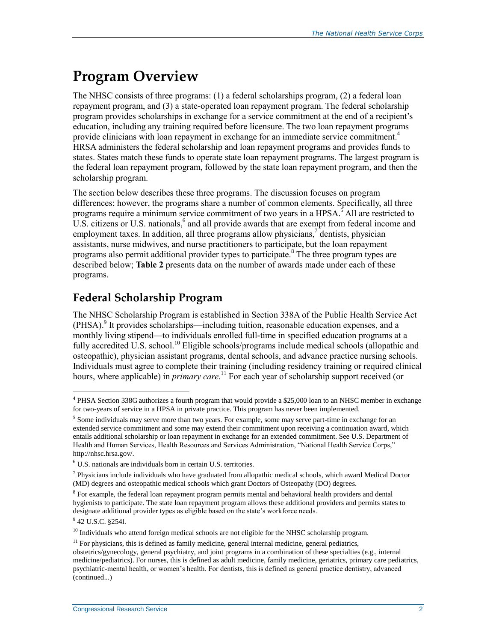## **Program Overview**

The NHSC consists of three programs: (1) a federal scholarships program, (2) a federal loan repayment program, and (3) a state-operated loan repayment program. The federal scholarship program provides scholarships in exchange for a service commitment at the end of a recipient's education, including any training required before licensure. The two loan repayment programs provide clinicians with loan repayment in exchange for an immediate service commitment.<sup>4</sup> HRSA administers the federal scholarship and loan repayment programs and provides funds to states. States match these funds to operate state loan repayment programs. The largest program is the federal loan repayment program, followed by the state loan repayment program, and then the scholarship program.

The section below describes these three programs. The discussion focuses on program differences; however, the programs share a number of common elements. Specifically, all three programs require a minimum service commitment of two years in a HPSA.<sup>5</sup> All are restricted to U.S. citizens or U.S. nationals, $6$  and all provide awards that are exempt from federal income and employment taxes. In addition, all three programs allow physicians,  $\phi$  dentists, physician assistants, nurse midwives, and nurse practitioners to participate, but the loan repayment programs also permit additional provider types to participate.<sup>8</sup> The three program types are described below; **[Table 2](#page-10-0)** presents data on the number of awards made under each of these programs.

### **Federal Scholarship Program**

The NHSC Scholarship Program is established in Section 338A of the Public Health Service Act (PHSA). 9 It provides scholarships—including tuition, reasonable education expenses, and a monthly living stipend—to individuals enrolled full-time in specified education programs at a fully accredited U.S. school.<sup>10</sup> Eligible schools/programs include medical schools (allopathic and osteopathic), physician assistant programs, dental schools, and advance practice nursing schools. Individuals must agree to complete their training (including residency training or required clinical hours, where applicable) in *primary care*. <sup>11</sup> For each year of scholarship support received (or

<sup>&</sup>lt;sup>4</sup> PHSA Section 338G authorizes a fourth program that would provide a \$25,000 loan to an NHSC member in exchange for two-years of service in a HPSA in private practice. This program has never been implemented.

<sup>&</sup>lt;sup>5</sup> Some individuals may serve more than two years. For example, some may serve part-time in exchange for an extended service commitment and some may extend their commitment upon receiving a continuation award, which entails additional scholarship or loan repayment in exchange for an extended commitment. See U.S. Department of Health and Human Services, Health Resources and Services Administration, "National Health Service Corps," http://nhsc.hrsa.gov/.

 $^6$  U.S. nationals are individuals born in certain U.S. territories.

<sup>&</sup>lt;sup>7</sup> Physicians include individuals who have graduated from allopathic medical schools, which award Medical Doctor (MD) degrees and osteopathic medical schools which grant Doctors of Osteopathy (DO) degrees.

<sup>&</sup>lt;sup>8</sup> For example, the federal loan repayment program permits mental and behavioral health providers and dental hygienists to participate. The state loan repayment program allows these additional providers and permits states to designate additional provider types as eligible based on the state's workforce needs.

<sup>&</sup>lt;sup>9</sup> 42 U.S.C. §2541.

<sup>&</sup>lt;sup>10</sup> Individuals who attend foreign medical schools are not eligible for the NHSC scholarship program.

 $11$  For physicians, this is defined as family medicine, general internal medicine, general pediatrics,

obstetrics/gynecology, general psychiatry, and joint programs in a combination of these specialties (e.g., internal medicine/pediatrics). For nurses, this is defined as adult medicine, family medicine, geriatrics, primary care pediatrics, psychiatric-mental health, or women's health. For dentists, this is defined as general practice dentistry, advanced (continued...)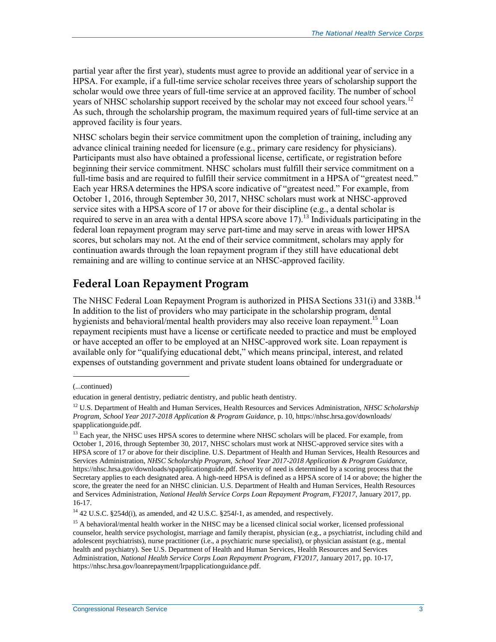partial year after the first year), students must agree to provide an additional year of service in a HPSA. For example, if a full-time service scholar receives three years of scholarship support the scholar would owe three years of full-time service at an approved facility. The number of school years of NHSC scholarship support received by the scholar may not exceed four school years.<sup>12</sup> As such, through the scholarship program, the maximum required years of full-time service at an approved facility is four years.

NHSC scholars begin their service commitment upon the completion of training, including any advance clinical training needed for licensure (e.g., primary care residency for physicians). Participants must also have obtained a professional license, certificate, or registration before beginning their service commitment. NHSC scholars must fulfill their service commitment on a full-time basis and are required to fulfill their service commitment in a HPSA of "greatest need." Each year HRSA determines the HPSA score indicative of "greatest need." For example, from October 1, 2016, through September 30, 2017, NHSC scholars must work at NHSC-approved service sites with a HPSA score of 17 or above for their discipline (e.g., a dental scholar is required to serve in an area with a dental HPSA score above  $17$ ).<sup>13</sup> Individuals participating in the federal loan repayment program may serve part-time and may serve in areas with lower HPSA scores, but scholars may not. At the end of their service commitment, scholars may apply for continuation awards through the loan repayment program if they still have educational debt remaining and are willing to continue service at an NHSC-approved facility.

#### **Federal Loan Repayment Program**

The NHSC Federal Loan Repayment Program is authorized in PHSA Sections 331(i) and 338B.<sup>14</sup> In addition to the list of providers who may participate in the scholarship program, dental hygienists and behavioral/mental health providers may also receive loan repayment.<sup>15</sup> Loan repayment recipients must have a license or certificate needed to practice and must be employed or have accepted an offer to be employed at an NHSC-approved work site. Loan repayment is available only for "qualifying educational debt," which means principal, interest, and related expenses of outstanding government and private student loans obtained for undergraduate or

l

<sup>(...</sup>continued)

education in general dentistry, pediatric dentistry, and public heath dentistry.

<sup>12</sup> U.S. Department of Health and Human Services, Health Resources and Services Administration, *NHSC Scholarship Program, School Year 2017-2018 Application & Program Guidance,* p. 10, https://nhsc.hrsa.gov/downloads/ spapplicationguide.pdf.

<sup>&</sup>lt;sup>13</sup> Each year, the NHSC uses HPSA scores to determine where NHSC scholars will be placed. For example, from October 1, 2016, through September 30, 2017, NHSC scholars must work at NHSC-approved service sites with a HPSA score of 17 or above for their discipline. U.S. Department of Health and Human Services, Health Resources and Services Administration, *NHSC Scholarship Program, School Year 2017-2018 Application & Program Guidance,*  https://nhsc.hrsa.gov/downloads/spapplicationguide.pdf. Severity of need is determined by a scoring process that the Secretary applies to each designated area. A high-need HPSA is defined as a HPSA score of 14 or above; the higher the score, the greater the need for an NHSC clinician. U.S. Department of Health and Human Services, Health Resources and Services Administration, *National Health Service Corps Loan Repayment Program, FY2017,* January 2017, pp. 16-17.

<sup>14</sup> 42 U.S.C. §254d(i), as amended, and 42 U.S.C. §254*l*-1, as amended, and respectively.

<sup>&</sup>lt;sup>15</sup> A behavioral/mental health worker in the NHSC may be a licensed clinical social worker, licensed professional counselor, health service psychologist, marriage and family therapist, physician (e.g., a psychiatrist, including child and adolescent psychiatrists), nurse practitioner (i.e., a psychiatric nurse specialist), or physician assistant (e.g., mental health and psychiatry). See U.S. Department of Health and Human Services, Health Resources and Services Administration, *National Health Service Corps Loan Repayment Program, FY2017,* January 2017, pp. 10-17, https://nhsc.hrsa.gov/loanrepayment/lrpapplicationguidance.pdf.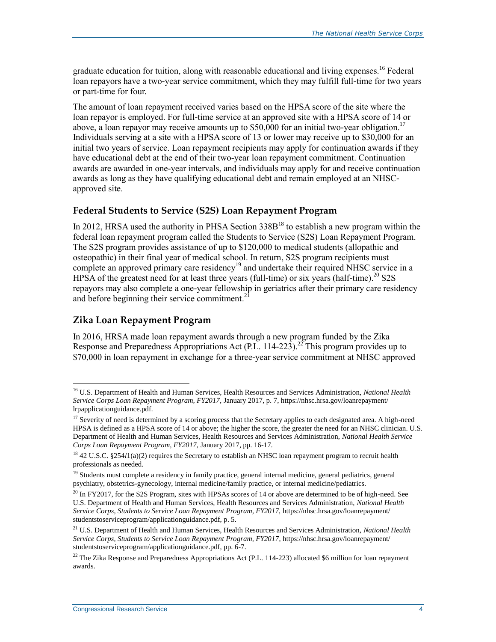graduate education for tuition, along with reasonable educational and living expenses.<sup>16</sup> Federal loan repayors have a two-year service commitment, which they may fulfill full-time for two years or part-time for four.

The amount of loan repayment received varies based on the HPSA score of the site where the loan repayor is employed. For full-time service at an approved site with a HPSA score of 14 or above, a loan repayor may receive amounts up to \$50,000 for an initial two-year obligation.<sup>17</sup> Individuals serving at a site with a HPSA score of 13 or lower may receive up to \$30,000 for an initial two years of service. Loan repayment recipients may apply for continuation awards if they have educational debt at the end of their two-year loan repayment commitment. Continuation awards are awarded in one-year intervals, and individuals may apply for and receive continuation awards as long as they have qualifying educational debt and remain employed at an NHSCapproved site.

#### **Federal Students to Service (S2S) Loan Repayment Program**

In 2012, HRSA used the authority in PHSA Section  $338B^{18}$  to establish a new program within the federal loan repayment program called the Students to Service (S2S) Loan Repayment Program. The S2S program provides assistance of up to \$120,000 to medical students (allopathic and osteopathic) in their final year of medical school. In return, S2S program recipients must complete an approved primary care residency<sup>19</sup> and undertake their required NHSC service in a HPSA of the greatest need for at least three years (full-time) or six years (half-time).<sup>20</sup> S2S repayors may also complete a one-year fellowship in geriatrics after their primary care residency and before beginning their service commitment.<sup>21</sup>

#### **Zika Loan Repayment Program**

 $\overline{a}$ 

In 2016, HRSA made loan repayment awards through a new program funded by the Zika Response and Preparedness Appropriations Act (P.L. 114-223).<sup>22</sup> This program provides up to \$70,000 in loan repayment in exchange for a three-year service commitment at NHSC approved

<sup>16</sup> U.S. Department of Health and Human Services, Health Resources and Services Administration, *National Health Service Corps Loan Repayment Program, FY2017,* January 2017, p. 7, https://nhsc.hrsa.gov/loanrepayment/ lrpapplicationguidance.pdf.

<sup>&</sup>lt;sup>17</sup> Severity of need is determined by a scoring process that the Secretary applies to each designated area. A high-need HPSA is defined as a HPSA score of 14 or above; the higher the score, the greater the need for an NHSC clinician. U.S. Department of Health and Human Services, Health Resources and Services Administration, *National Health Service Corps Loan Repayment Program, FY2017,* January 2017, pp. 16-17.

<sup>&</sup>lt;sup>18</sup> 42 U.S.C. §254*l*1(a)(2) requires the Secretary to establish an NHSC loan repayment program to recruit health professionals as needed.

<sup>&</sup>lt;sup>19</sup> Students must complete a residency in family practice, general internal medicine, general pediatrics, general psychiatry, obstetrics-gynecology, internal medicine/family practice, or internal medicine/pediatrics.

<sup>&</sup>lt;sup>20</sup> In FY2017, for the S2S Program, sites with HPSAs scores of 14 or above are determined to be of high-need. See U.S. Department of Health and Human Services, Health Resources and Services Administration, *National Health Service Corps, Students to Service Loan Repayment Program, FY2017,* https://nhsc.hrsa.gov/loanrepayment/ studentstoserviceprogram/applicationguidance.pdf, p. 5.

<sup>21</sup> U.S. Department of Health and Human Services, Health Resources and Services Administration, *National Health Service Corps, Students to Service Loan Repayment Program, FY2017*, https://nhsc.hrsa.gov/loanrepayment/ studentstoserviceprogram/applicationguidance.pdf, pp. 6-7.

<sup>&</sup>lt;sup>22</sup> The Zika Response and Preparedness Appropriations Act (P.L. 114-223) allocated \$6 million for loan repayment awards.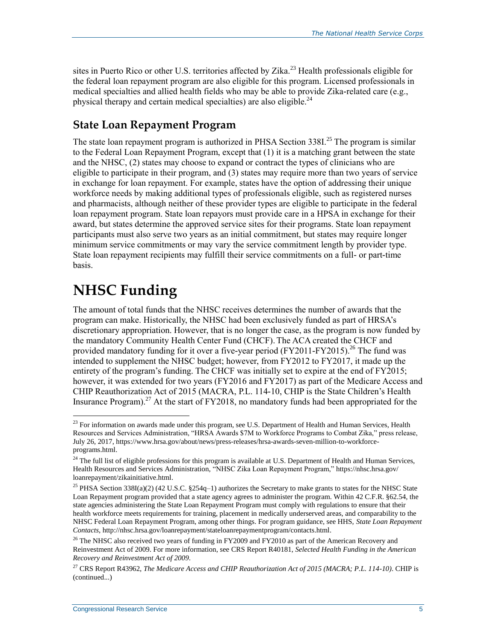sites in Puerto Rico or other U.S. territories affected by Zika.<sup>23</sup> Health professionals eligible for the federal loan repayment program are also eligible for this program. Licensed professionals in medical specialties and allied health fields who may be able to provide Zika-related care (e.g., physical therapy and certain medical specialties) are also eligible.<sup>24</sup>

#### **State Loan Repayment Program**

The state loan repayment program is authorized in PHSA Section 338I.<sup>25</sup> The program is similar to the Federal Loan Repayment Program, except that (1) it is a matching grant between the state and the NHSC, (2) states may choose to expand or contract the types of clinicians who are eligible to participate in their program, and (3) states may require more than two years of service in exchange for loan repayment. For example, states have the option of addressing their unique workforce needs by making additional types of professionals eligible, such as registered nurses and pharmacists, although neither of these provider types are eligible to participate in the federal loan repayment program. State loan repayors must provide care in a HPSA in exchange for their award, but states determine the approved service sites for their programs. State loan repayment participants must also serve two years as an initial commitment, but states may require longer minimum service commitments or may vary the service commitment length by provider type. State loan repayment recipients may fulfill their service commitments on a full- or part-time basis.

## <span id="page-7-0"></span>**NHSC Funding**

 $\overline{a}$ 

The amount of total funds that the NHSC receives determines the number of awards that the program can make. Historically, the NHSC had been exclusively funded as part of HRSA's discretionary appropriation. However, that is no longer the case, as the program is now funded by the mandatory Community Health Center Fund (CHCF).The ACA created the CHCF and provided mandatory funding for it over a five-year period (FY2011-FY2015).<sup>26</sup> The fund was intended to supplement the NHSC budget; however, from FY2012 to FY2017, it made up the entirety of the program's funding. The CHCF was initially set to expire at the end of FY2015; however, it was extended for two years (FY2016 and FY2017) as part of the Medicare Access and CHIP Reauthorization Act of 2015 (MACRA, [P.L. 114-10,](http://www.congress.gov/cgi-lis/bdquery/R?d114:FLD002:@1(114+10)) CHIP is the State Children's Health Insurance Program).<sup>27</sup> At the start of FY2018, no mandatory funds had been appropriated for the

 $^{23}$  For information on awards made under this program, see U.S. Department of Health and Human Services, Health Resources and Services Administration, "HRSA Awards \$7M to Workforce Programs to Combat Zika," press release, July 26, 2017, https://www.hrsa.gov/about/news/press-releases/hrsa-awards-seven-million-to-workforceprograms.html.

<sup>&</sup>lt;sup>24</sup> The full list of eligible professions for this program is available at U.S. Department of Health and Human Services, Health Resources and Services Administration, "NHSC Zika Loan Repayment Program," https://nhsc.hrsa.gov/ loanrepayment/zikainitiative.html.

<sup>&</sup>lt;sup>25</sup> PHSA Section 338I(a)(2) (42 U.S.C. §254q-1) authorizes the Secretary to make grants to states for the NHSC State Loan Repayment program provided that a state agency agrees to administer the program. Within 42 C.F.R. §62.54, the state agencies administering the State Loan Repayment Program must comply with regulations to ensure that their health workforce meets requirements for training, placement in medically underserved areas, and comparability to the NHSC Federal Loan Repayment Program, among other things. For program guidance, see HHS, *State Loan Repayment Contacts*, http://nhsc.hrsa.gov/loanrepayment/stateloanrepaymentprogram/contacts.html.

<sup>&</sup>lt;sup>26</sup> The NHSC also received two years of funding in FY2009 and FY2010 as part of the American Recovery and Reinvestment Act of 2009. For more information, see CRS Report R40181, *Selected Health Funding in the American Recovery and Reinvestment Act of 2009*.

<sup>27</sup> CRS Report R43962, *The Medicare Access and CHIP Reauthorization Act of 2015 (MACRA; P.L. 114-10)*. CHIP is (continued...)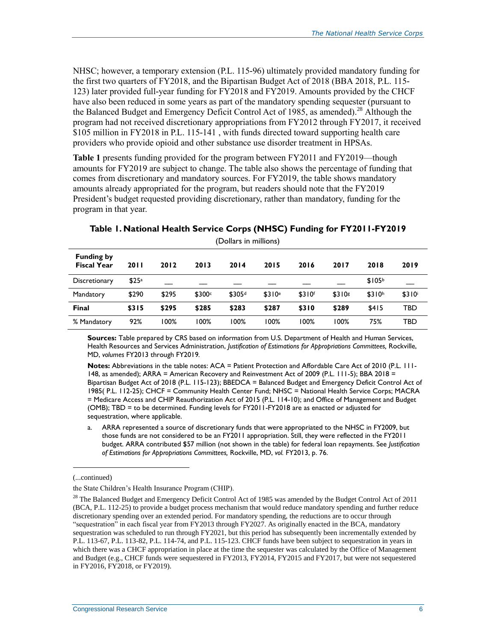NHSC; however, a temporary extension (P.L. 115-96) ultimately provided mandatory funding for the first two quarters of FY2018, and the Bipartisan Budget Act of 2018 (BBA 2018, [P.L. 115-](http://www.congress.gov/cgi-lis/bdquery/R?d115:FLD002:@1(115+123)) [123\)](http://www.congress.gov/cgi-lis/bdquery/R?d115:FLD002:@1(115+123)) later provided full-year funding for FY2018 and FY2019. Amounts provided by the CHCF have also been reduced in some years as part of the mandatory spending sequester (pursuant to the Balanced Budget and Emergency Deficit Control Act of 1985, as amended).<sup>28</sup> Although the program had not received discretionary appropriations from FY2012 through FY2017, it received \$105 million in FY2018 in P.L. 115-141 , with funds directed toward supporting health care providers who provide opioid and other substance use disorder treatment in HPSAs.

**[Table 1](#page-8-0)** presents funding provided for the program between FY2011 and FY2019—though amounts for FY2019 are subject to change. The table also shows the percentage of funding that comes from discretionary and mandatory sources. For FY2019, the table shows mandatory amounts already appropriated for the program, but readers should note that the FY2019 President's budget requested providing discretionary, rather than mandatory, funding for the program in that year.

| <b>Funding by</b><br><b>Fiscal Year</b> | <b>2011</b>       | 2012  | 2013               | 2014               | 2015               | 2016               | 2017   | 2018               | 2019               |
|-----------------------------------------|-------------------|-------|--------------------|--------------------|--------------------|--------------------|--------|--------------------|--------------------|
| Discretionary                           | \$25 <sup>a</sup> |       |                    |                    |                    |                    |        | \$105 <sup>b</sup> |                    |
| Mandatory                               | \$290             | \$295 | \$300 <sup>c</sup> | \$305 <sup>d</sup> | \$310 <sup>e</sup> | \$310 <sup>f</sup> | \$310s | \$310 <sup>h</sup> | \$310 <sup>i</sup> |
| <b>Final</b>                            | \$315             | \$295 | \$285              | \$283              | \$287              | \$310              | \$289  | \$415              | TBD                |
| % Mandatory                             | 92%               | 100%  | 100%               | 100%               | 00% ا              | 100%               | 100%   | 75%                | TBD                |

<span id="page-8-0"></span>**Table 1. National Health Service Corps (NHSC) Funding for FY2011-FY2019**

(Dollars in millions)

**Sources:** Table prepared by CRS based on information from U.S. Department of Health and Human Services, Health Resources and Services Administration, *Justification of Estimations for Appropriations Committees,* Rockville, MD, *volumes* FY2013 through FY2019*.* 

**Notes:** Abbreviations in the table notes: ACA = Patient Protection and Affordable Care Act of 2010 [\(P.L. 111-](http://www.congress.gov/cgi-lis/bdquery/R?d111:FLD002:@1(111+148)) [148,](http://www.congress.gov/cgi-lis/bdquery/R?d111:FLD002:@1(111+148)) as amended); ARRA = American Recovery and Reinvestment Act of 2009 (P.L. 111-5); BBA 2018 = Bipartisan Budget Act of 2018 [\(P.L. 115-123\)](http://www.congress.gov/cgi-lis/bdquery/R?d115:FLD002:@1(115+123)); BBEDCA = Balanced Budget and Emergency Deficit Control Act of 1985( P.L. 112-25); CHCF = Community Health Center Fund; NHSC = National Health Service Corps; MACRA = Medicare Access and CHIP Reauthorization Act of 2015 [\(P.L. 114-10\)](http://www.congress.gov/cgi-lis/bdquery/R?d114:FLD002:@1(114+10)); and Office of Management and Budget (OMB); TBD = to be determined. Funding levels for FY2011-FY2018 are as enacted or adjusted for sequestration, where applicable.

<span id="page-8-1"></span>a. ARRA represented a source of discretionary funds that were appropriated to the NHSC in FY2009, but those funds are not considered to be an FY2011 appropriation. Still, they were reflected in the FY2011 budget. ARRA contributed \$57 million (not shown in the table) for federal loan repayments. See *Justification of Estimations for Appropriations Committees,* Rockville, MD, *vol.* FY2013, p. 76.

l

<sup>(...</sup>continued)

the State Children's Health Insurance Program (CHIP).

<sup>&</sup>lt;sup>28</sup> The Balanced Budget and Emergency Deficit Control Act of 1985 was amended by the Budget Control Act of 2011 (BCA, P.L. 112-25) to provide a budget process mechanism that would reduce mandatory spending and further reduce discretionary spending over an extended period. For mandatory spending, the reductions are to occur through "sequestration" in each fiscal year from FY2013 through FY2027. As originally enacted in the BCA, mandatory sequestration was scheduled to run through FY2021, but this period has subsequently been incrementally extended by P.L. 113-67, P.L. 113-82, P.L. 114-74, and P.L. 115-123. CHCF funds have been subject to sequestration in years in which there was a CHCF appropriation in place at the time the sequester was calculated by the Office of Management and Budget (e.g., CHCF funds were sequestered in FY2013, FY2014, FY2015 and FY2017, but were not sequestered in FY2016, FY2018, or FY2019).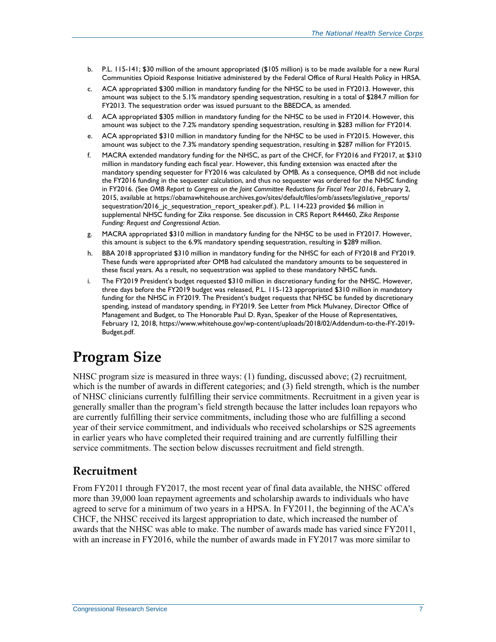- <span id="page-9-0"></span>b. P.L. 115-141; \$30 million of the amount appropriated (\$105 million) is to be made available for a new Rural Communities Opioid Response Initiative administered by the Federal Office of Rural Health Policy in HRSA.
- <span id="page-9-1"></span>c. ACA appropriated \$300 million in mandatory funding for the NHSC to be used in FY2013. However, this amount was subject to the 5.1% mandatory spending sequestration, resulting in a total of \$284.7 million for FY2013. The sequestration order was issued pursuant to the BBEDCA, as amended.
- <span id="page-9-2"></span>d. ACA appropriated \$305 million in mandatory funding for the NHSC to be used in FY2014. However, this amount was subject to the 7.2% mandatory spending sequestration, resulting in \$283 million for FY2014.
- <span id="page-9-3"></span>e. ACA appropriated \$310 million in mandatory funding for the NHSC to be used in FY2015. However, this amount was subject to the 7.3% mandatory spending sequestration, resulting in \$287 million for FY2015.
- <span id="page-9-4"></span>f. MACRA extended mandatory funding for the NHSC, as part of the CHCF, for FY2016 and FY2017, at \$310 million in mandatory funding each fiscal year. However, this funding extension was enacted after the mandatory spending sequester for FY2016 was calculated by OMB. As a consequence, OMB did not include the FY2016 funding in the sequester calculation, and thus no sequester was ordered for the NHSC funding in FY2016. (See *OMB Report to Congress on the Joint Committee Reductions for Fiscal Year 2016*, February 2, 2015, available a[t https://obamawhitehouse.archives.gov/sites/default/files/omb/assets/legislative\\_reports/](https://obamawhitehouse.archives.gov/sites/default/files/omb/assets/legislative_reports/sequestration/2016_jc_sequestration_report_speaker.pdf) [sequestration/2016\\_jc\\_sequestration\\_report\\_speaker.pdf.\)](https://obamawhitehouse.archives.gov/sites/default/files/omb/assets/legislative_reports/sequestration/2016_jc_sequestration_report_speaker.pdf). P.L. 114-223 provided \$6 million in supplemental NHSC funding for Zika response. See discussion in CRS Report R44460, *[Zika Response](http://www.crs.gov/Reports/R44460)  [Funding: Request and Congressional Action](http://www.crs.gov/Reports/R44460)*.
- <span id="page-9-5"></span>g. MACRA appropriated \$310 million in mandatory funding for the NHSC to be used in FY2017. However, this amount is subject to the 6.9% mandatory spending sequestration, resulting in \$289 million.
- <span id="page-9-6"></span>h. BBA 2018 appropriated \$310 million in mandatory funding for the NHSC for each of FY2018 and FY2019. These funds were appropriated after OMB had calculated the mandatory amounts to be sequestered in these fiscal years. As a result, no sequestration was applied to these mandatory NHSC funds.
- <span id="page-9-7"></span>i. The FY2019 President's budget requested \$310 million in discretionary funding for the NHSC. However, three days before the FY2019 budget was released, P.L. 115-123 appropriated \$310 million in mandatory funding for the NHSC in FY2019. The President's budget requests that NHSC be funded by discretionary spending, instead of mandatory spending, in FY2019. See Letter from Mick Mulvaney, Director Office of Management and Budget, to The Honorable Paul D. Ryan, Speaker of the House of Representatives, February 12, 2018, [https://www.whitehouse.gov/wp-content/uploads/2018/02/Addendum-to-the-FY-2019-](https://www.whitehouse.gov/wp-content/uploads/2018/02/Addendum-to-the-FY-2019-Budget.pdf) [Budget.pdf.](https://www.whitehouse.gov/wp-content/uploads/2018/02/Addendum-to-the-FY-2019-Budget.pdf)

## **Program Size**

NHSC program size is measured in three ways: (1) funding, discussed above; (2) recruitment*,* which is the number of awards in different categories; and (3) field strength, which is the number of NHSC clinicians currently fulfilling their service commitments. Recruitment in a given year is generally smaller than the program's field strength because the latter includes loan repayors who are currently fulfilling their service commitments, including those who are fulfilling a second year of their service commitment, and individuals who received scholarships or S2S agreements in earlier years who have completed their required training and are currently fulfilling their service commitments. The section below discusses recruitment and field strength.

#### **Recruitment**

From FY2011 through FY2017, the most recent year of final data available, the NHSC offered more than 39,000 loan repayment agreements and scholarship awards to individuals who have agreed to serve for a minimum of two years in a HPSA. In FY2011, the beginning of the ACA's CHCF, the NHSC received its largest appropriation to date, which increased the number of awards that the NHSC was able to make. The number of awards made has varied since FY2011, with an increase in FY2016, while the number of awards made in FY2017 was more similar to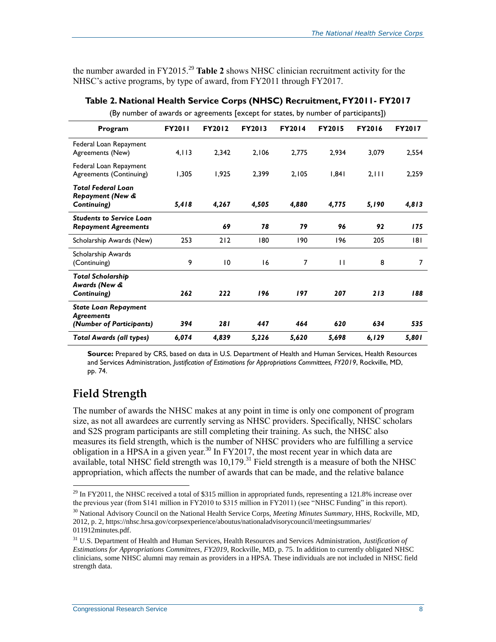the number awarded in FY2015.<sup>29</sup> **[Table 2](#page-10-0)** shows NHSC clinician recruitment activity for the NHSC's active programs, by type of award, from FY2011 through FY2017.

| Program                                                                      | <b>FY2011</b> | <b>FY2012</b>   | <b>FY2013</b> | <b>FY2014</b>  | <b>FY2015</b> | <b>FY2016</b> | <b>FY2017</b> |
|------------------------------------------------------------------------------|---------------|-----------------|---------------|----------------|---------------|---------------|---------------|
| Federal Loan Repayment<br>Agreements (New)                                   | 4,113         | 2,342           | 2,106         | 2,775          | 2,934         | 3,079         | 2,554         |
| Federal Loan Repayment<br>Agreements (Continuing)                            | 1,305         | 1,925           | 2,399         | 2,105          | 1,841         | 2,111         | 2,259         |
| <b>Total Federal Loan</b><br>Repayment (New &<br>Continuing)                 | 5,418         | 4,267           | 4,505         | 4,880          | 4,775         | 5,190         | 4,813         |
| <b>Students to Service Loan</b><br><b>Repayment Agreements</b>               |               | 69              | 78            | 79             | 96            | 92            | 175           |
| Scholarship Awards (New)                                                     | 253           | 212             | 180           | 190            | 196           | 205           | 181           |
| Scholarship Awards<br>(Continuing)                                           | 9             | $\overline{10}$ | 16            | $\overline{7}$ | $\mathbf{H}$  | 8             | 7             |
| <b>Total Scholarship</b><br>Awards (New &<br>Continuing)                     | 262           | 222             | 196           | 197            | 207           | 213           | 188           |
| <b>State Loan Repayment</b><br><b>Agreements</b><br>(Number of Participants) | 394           | 281             | 447           | 464            | 620           | 634           | 535           |
| <b>Total Awards (all types)</b>                                              | 6,074         | 4,839           | 5,226         | 5,620          | 5,698         | 6, 129        | 5,801         |

<span id="page-10-0"></span>**Table 2. National Health Service Corps (NHSC) Recruitment, FY2011- FY2017** (By number of awards or agreements [except for states, by number of participants])

**Source:** Prepared by CRS, based on data in U.S. Department of Health and Human Services, Health Resources and Services Administration, *Justification of Estimations for Appropriations Committees, FY2019*, Rockville, MD, pp. 74.

### **Field Strength**

 $\overline{a}$ 

The number of awards the NHSC makes at any point in time is only one component of program size, as not all awardees are currently serving as NHSC providers. Specifically, NHSC scholars and S2S program participants are still completing their training. As such, the NHSC also measures its field strength, which is the number of NHSC providers who are fulfilling a service obligation in a HPSA in a given year.<sup>30</sup> In FY2017, the most recent year in which data are available, total NHSC field strength was  $10,179$ .<sup>31</sup> Field strength is a measure of both the NHSC appropriation, which affects the number of awards that can be made, and the relative balance

<sup>&</sup>lt;sup>29</sup> In FY2011, the NHSC received a total of \$315 million in appropriated funds, representing a 121.8% increase over the previous year (from \$141 million in FY2010 to \$315 million in FY2011) (see ["NHSC Funding"](#page-7-0) in this report).

<sup>30</sup> National Advisory Council on the National Health Service Corps, *Meeting Minutes Summary*, HHS, Rockville, MD, 2012, p. 2, https://nhsc.hrsa.gov/corpsexperience/aboutus/nationaladvisorycouncil/meetingsummaries/ 011912minutes.pdf.

<sup>31</sup> U.S. Department of Health and Human Services, Health Resources and Services Administration, *Justification of Estimations for Appropriations Committees, FY2019*, Rockville, MD, p. 75. In addition to currently obligated NHSC clinicians, some NHSC alumni may remain as providers in a HPSA. These individuals are not included in NHSC field strength data.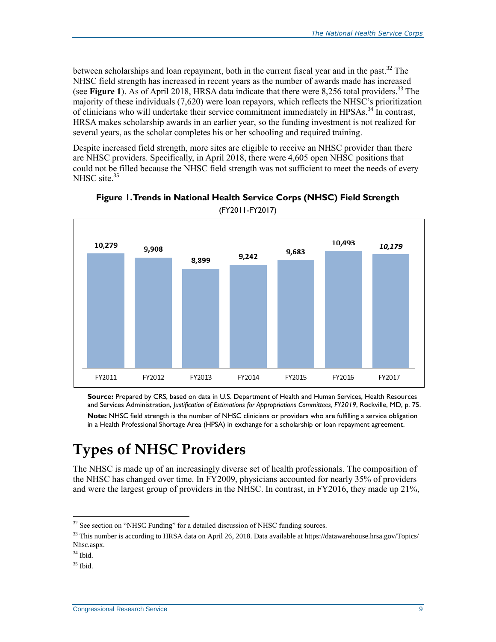between scholarships and loan repayment, both in the current fiscal year and in the past.<sup>32</sup> The NHSC field strength has increased in recent years as the number of awards made has increased (see **[Figure 1](#page-11-0)**). As of April 2018, HRSA data indicate that there were 8,256 total providers. <sup>33</sup> The majority of these individuals (7,620) were loan repayors, which reflects the NHSC's prioritization of clinicians who will undertake their service commitment immediately in HPSAs.<sup>34</sup> In contrast, HRSA makes scholarship awards in an earlier year, so the funding investment is not realized for several years, as the scholar completes his or her schooling and required training.

Despite increased field strength, more sites are eligible to receive an NHSC provider than there are NHSC providers. Specifically, in April 2018, there were 4,605 open NHSC positions that could not be filled because the NHSC field strength was not sufficient to meet the needs of every NHSC site.<sup>35</sup>

<span id="page-11-0"></span>



**Source:** Prepared by CRS, based on data in U.S. Department of Health and Human Services, Health Resources and Services Administration, *Justification of Estimations for Appropriations Committees, FY2019*, Rockville, MD, p. 75. **Note:** NHSC field strength is the number of NHSC clinicians or providers who are fulfilling a service obligation in a Health Professional Shortage Area (HPSA) in exchange for a scholarship or loan repayment agreement.

## **Types of NHSC Providers**

The NHSC is made up of an increasingly diverse set of health professionals. The composition of the NHSC has changed over time. In FY2009, physicians accounted for nearly 35% of providers and were the largest group of providers in the NHSC. In contrast, in FY2016, they made up 21%,

 $\overline{a}$ <sup>32</sup> See section on ["NHSC Funding"](#page-7-0) for a detailed discussion of NHSC funding sources.

 $33$  This number is according to HRSA data on April 26, 2018. Data available at https://datawarehouse.hrsa.gov/Topics/ Nhsc.aspx.

 $34$  Ibid.

 $35$  Ibid.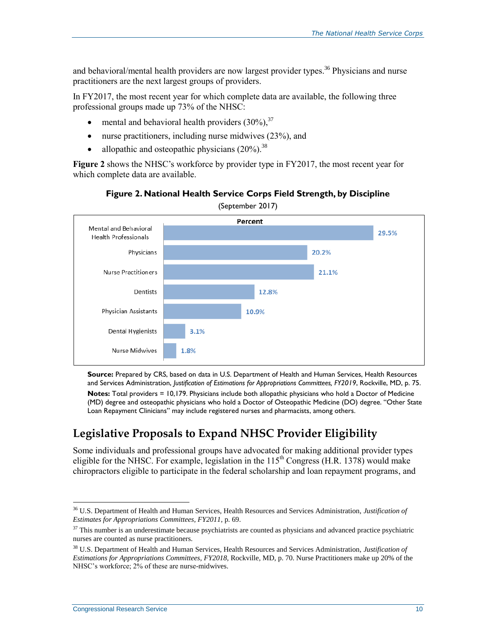and behavioral/mental health providers are now largest provider types.<sup>36</sup> Physicians and nurse practitioners are the next largest groups of providers.

In FY2017, the most recent year for which complete data are available, the following three professional groups made up 73% of the NHSC:

- mental and behavioral health providers  $(30\%)$ ,<sup>37</sup>
- nurse practitioners, including nurse midwives (23%), and
- allopathic and osteopathic physicians  $(20\%)$ .<sup>38</sup>

**[Figure 2](#page-12-0)** shows the NHSC's workforce by provider type in FY2017, the most recent year for which complete data are available.

<span id="page-12-0"></span>

**Figure 2. National Health Service Corps Field Strength, by Discipline**

**Source:** Prepared by CRS, based on data in U.S. Department of Health and Human Services, Health Resources and Services Administration, *Justification of Estimations for Appropriations Committees, FY2019*, Rockville, MD, p. 75.

**Notes:** Total providers = 10,179. Physicians include both allopathic physicians who hold a Doctor of Medicine (MD) degree and osteopathic physicians who hold a Doctor of Osteopathic Medicine (DO) degree. "Other State Loan Repayment Clinicians" may include registered nurses and pharmacists, among others.

### **Legislative Proposals to Expand NHSC Provider Eligibility**

Some individuals and professional groups have advocated for making additional provider types eligible for the NHSC. For example, legislation in the  $115<sup>th</sup>$  Congress (H.R. 1378) would make chiropractors eligible to participate in the federal scholarship and loan repayment programs, and

<sup>36</sup> U.S. Department of Health and Human Services, Health Resources and Services Administration, *Justification of Estimates for Appropriations Committees, FY2011*, p. 69.

 $37$  This number is an underestimate because psychiatrists are counted as physicians and advanced practice psychiatric nurses are counted as nurse practitioners.

<sup>38</sup> U.S. Department of Health and Human Services, Health Resources and Services Administration, *Justification of Estimations for Appropriations Committees, FY2018,* Rockville, MD, p. 70. Nurse Practitioners make up 20% of the NHSC's workforce; 2% of these are nurse-midwives.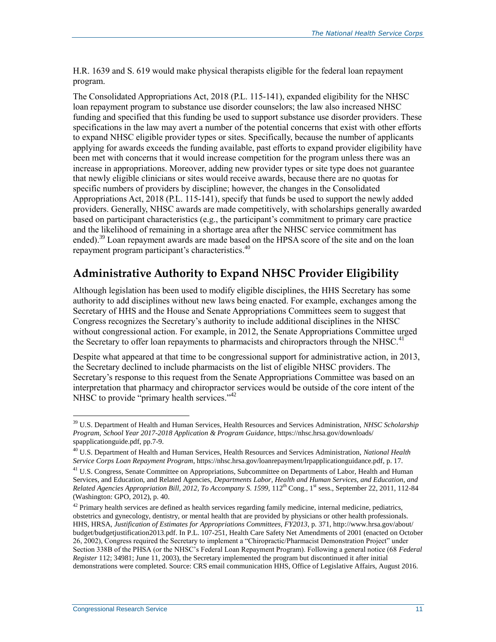[H.R. 1639](http://www.congress.gov/cgi-lis/bdquery/z?d115:H.R.1639:) and S. 619 would make physical therapists eligible for the federal loan repayment program.

The Consolidated Appropriations Act, 2018 [\(P.L. 115-141\)](http://www.congress.gov/cgi-lis/bdquery/R?d115:FLD002:@1(115+141)), expanded eligibility for the NHSC loan repayment program to substance use disorder counselors; the law also increased NHSC funding and specified that this funding be used to support substance use disorder providers. These specifications in the law may avert a number of the potential concerns that exist with other efforts to expand NHSC eligible provider types or sites. Specifically, because the number of applicants applying for awards exceeds the funding available, past efforts to expand provider eligibility have been met with concerns that it would increase competition for the program unless there was an increase in appropriations. Moreover, adding new provider types or site type does not guarantee that newly eligible clinicians or sites would receive awards, because there are no quotas for specific numbers of providers by discipline; however, the changes in the Consolidated Appropriations Act, 2018 (P.L. 115-141), specify that funds be used to support the newly added providers. Generally, NHSC awards are made competitively, with scholarships generally awarded based on participant characteristics (e.g., the participant's commitment to primary care practice and the likelihood of remaining in a shortage area after the NHSC service commitment has ended).<sup>39</sup> Loan repayment awards are made based on the HPSA score of the site and on the loan repayment program participant's characteristics. $40$ 

### **Administrative Authority to Expand NHSC Provider Eligibility**

Although legislation has been used to modify eligible disciplines, the HHS Secretary has some authority to add disciplines without new laws being enacted. For example, exchanges among the Secretary of HHS and the House and Senate Appropriations Committees seem to suggest that Congress recognizes the Secretary's authority to include additional disciplines in the NHSC without congressional action. For example, in 2012, the Senate Appropriations Committee urged the Secretary to offer loan repayments to pharmacists and chiropractors through the NHSC.<sup>41</sup>

Despite what appeared at that time to be congressional support for administrative action, in 2013, the Secretary declined to include pharmacists on the list of eligible NHSC providers. The Secretary's response to this request from the Senate Appropriations Committee was based on an interpretation that pharmacy and chiropractor services would be outside of the core intent of the NHSC to provide "primary health services." $42$ 

<sup>39</sup> U.S. Department of Health and Human Services, Health Resources and Services Administration, *NHSC Scholarship Program, School Year 2017-2018 Application & Program Guidance*, https://nhsc.hrsa.gov/downloads/ spapplicationguide.pdf, pp.7-9.

<sup>40</sup> U.S. Department of Health and Human Services, Health Resources and Services Administration, *National Health Service Corps Loan Repayment Program*, https://nhsc.hrsa.gov/loanrepayment/lrpapplicationguidance.pdf, p. 17.

<sup>&</sup>lt;sup>41</sup> U.S. Congress, Senate Committee on Appropriations, Subcommittee on Departments of Labor, Health and Human Services, and Education, and Related Agencies, *Departments Labor, Health and Human Services, and Education, and Related Agencies Appropriation Bill, 2012, To Accompany S. 1599,* 112<sup>th</sup> Cong., 1<sup>st</sup> sess., September 22, 2011, 112-84 (Washington: GPO, 2012), p. 40.

 $42$  Primary health services are defined as health services regarding family medicine, internal medicine, pediatrics, obstetrics and gynecology, dentistry, or mental health that are provided by physicians or other health professionals. HHS, HRSA, *Justification of Estimates for Appropriations Committees, FY2013*, p. 371, http://www.hrsa.gov/about/ budget/budgetjustification2013.pdf. In P.L. 107-251, Health Care Safety Net Amendments of 2001 (enacted on October 26, 2002), Congress required the Secretary to implement a "Chiropractic/Pharmacist Demonstration Project" under Section 338B of the PHSA (or the NHSC's Federal Loan Repayment Program). Following a general notice (68 *Federal Register* 112; 34981; June 11, 2003), the Secretary implemented the program but discontinued it after initial demonstrations were completed. Source: CRS email communication HHS, Office of Legislative Affairs, August 2016.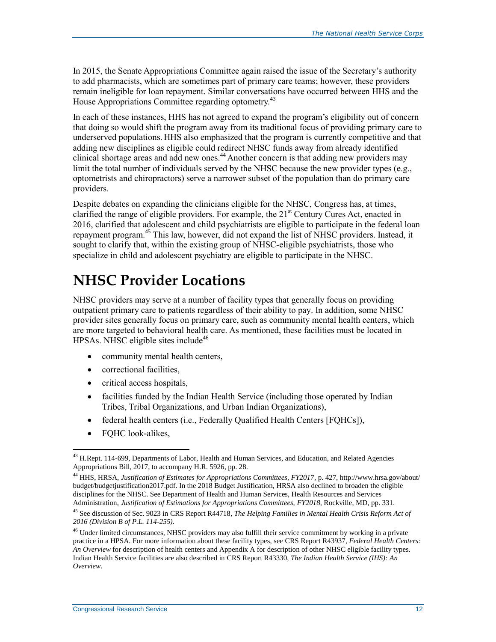In 2015, the Senate Appropriations Committee again raised the issue of the Secretary's authority to add pharmacists, which are sometimes part of primary care teams; however, these providers remain ineligible for loan repayment. Similar conversations have occurred between HHS and the House Appropriations Committee regarding optometry.<sup>43</sup>

In each of these instances, HHS has not agreed to expand the program's eligibility out of concern that doing so would shift the program away from its traditional focus of providing primary care to underserved populations. HHS also emphasized that the program is currently competitive and that adding new disciplines as eligible could redirect NHSC funds away from already identified clinical shortage areas and add new ones.<sup>44</sup> Another concern is that adding new providers may limit the total number of individuals served by the NHSC because the new provider types (e.g., optometrists and chiropractors) serve a narrower subset of the population than do primary care providers.

Despite debates on expanding the clinicians eligible for the NHSC, Congress has, at times, clarified the range of eligible providers. For example, the 21<sup>st</sup> Century Cures Act, enacted in 2016, clarified that adolescent and child psychiatrists are eligible to participate in the federal loan repayment program.<sup>45</sup> This law, however, did not expand the list of NHSC providers. Instead, it sought to clarify that, within the existing group of NHSC-eligible psychiatrists, those who specialize in child and adolescent psychiatry are eligible to participate in the NHSC.

## **NHSC Provider Locations**

NHSC providers may serve at a number of facility types that generally focus on providing outpatient primary care to patients regardless of their ability to pay. In addition, some NHSC provider sites generally focus on primary care, such as community mental health centers, which are more targeted to behavioral health care. As mentioned, these facilities must be located in HPSAs. NHSC eligible sites include<sup>46</sup>

- community mental health centers,
- correctional facilities,
- critical access hospitals,
- facilities funded by the Indian Health Service (including those operated by Indian Tribes, Tribal Organizations, and Urban Indian Organizations),
- federal health centers (i.e., Federally Qualified Health Centers [FQHCs]),
- FQHC look-alikes,

<sup>&</sup>lt;sup>43</sup> H.Rept. 114-699, Departments of Labor, Health and Human Services, and Education, and Related Agencies Appropriations Bill, 2017, to accompany H.R. 5926, pp. 28.

<sup>44</sup> HHS, HRSA, *Justification of Estimates for Appropriations Committees, FY2017*, p. 427, http://www.hrsa.gov/about/ budget/budgetjustification2017.pdf. In the 2018 Budget Justification, HRSA also declined to broaden the eligible disciplines for the NHSC. See Department of Health and Human Services, Health Resources and Services Administration, *Justification of Estimations for Appropriations Committees, FY2018*, Rockville, MD, pp. 331.

<sup>45</sup> See discussion of Sec. 9023 in CRS Report R44718, *The Helping Families in Mental Health Crisis Reform Act of 2016 (Division B of P.L. 114-255)*.

<sup>&</sup>lt;sup>46</sup> Under limited circumstances, NHSC providers may also fulfill their service commitment by working in a private practice in a HPSA. For more information about these facility types, see CRS Report R43937, *Federal Health Centers: An Overview* for description of health centers and Appendix A for description of other NHSC eligible facility types. Indian Health Service facilities are also described in CRS Report R43330, *The Indian Health Service (IHS): An Overview*.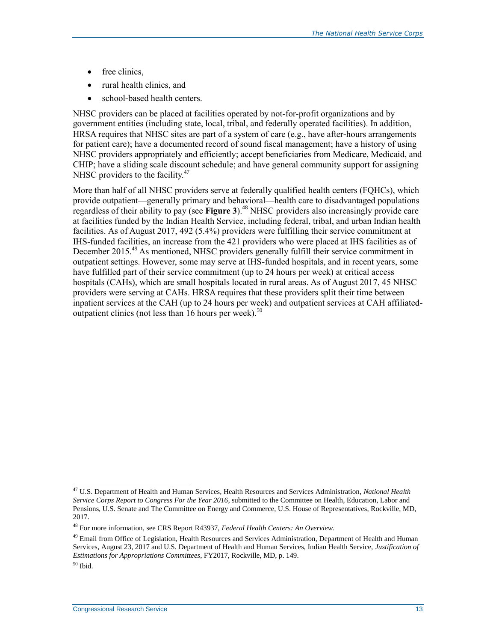- free clinics,
- rural health clinics, and
- school-based health centers.

NHSC providers can be placed at facilities operated by not-for-profit organizations and by government entities (including state, local, tribal, and federally operated facilities). In addition, HRSA requires that NHSC sites are part of a system of care (e.g., have after-hours arrangements for patient care); have a documented record of sound fiscal management; have a history of using NHSC providers appropriately and efficiently; accept beneficiaries from Medicare, Medicaid, and CHIP; have a sliding scale discount schedule; and have general community support for assigning NHSC providers to the facility.<sup>47</sup>

More than half of all NHSC providers serve at federally qualified health centers (FQHCs), which provide outpatient—generally primary and behavioral—health care to disadvantaged populations regardless of their ability to pay (see **[Figure 3](#page-16-0)**).<sup>48</sup> NHSC providers also increasingly provide care at facilities funded by the Indian Health Service, including federal, tribal, and urban Indian health facilities. As of August 2017, 492 (5.4%) providers were fulfilling their service commitment at IHS-funded facilities, an increase from the 421 providers who were placed at IHS facilities as of December 2015.<sup>49</sup> As mentioned, NHSC providers generally fulfill their service commitment in outpatient settings. However, some may serve at IHS-funded hospitals, and in recent years, some have fulfilled part of their service commitment (up to 24 hours per week) at critical access hospitals (CAHs), which are small hospitals located in rural areas. As of August 2017, 45 NHSC providers were serving at CAHs. HRSA requires that these providers split their time between inpatient services at the CAH (up to 24 hours per week) and outpatient services at CAH affiliatedoutpatient clinics (not less than  $16$  hours per week).<sup>50</sup>

<sup>47</sup> U.S. Department of Health and Human Services, Health Resources and Services Administration, *National Health Service Corps Report to Congress For the Year 2016*, submitted to the Committee on Health, Education, Labor and Pensions, U.S. Senate and The Committee on Energy and Commerce, U.S. House of Representatives, Rockville, MD, 2017.

<sup>48</sup> For more information, see CRS Report R43937, *Federal Health Centers: An Overview*.

<sup>&</sup>lt;sup>49</sup> Email from Office of Legislation, Health Resources and Services Administration, Department of Health and Human Services, August 23, 2017 and U.S. Department of Health and Human Services, Indian Health Service, *Justification of Estimations for Appropriations Committees*, FY2017, Rockville, MD, p. 149.

 $50$  Ibid.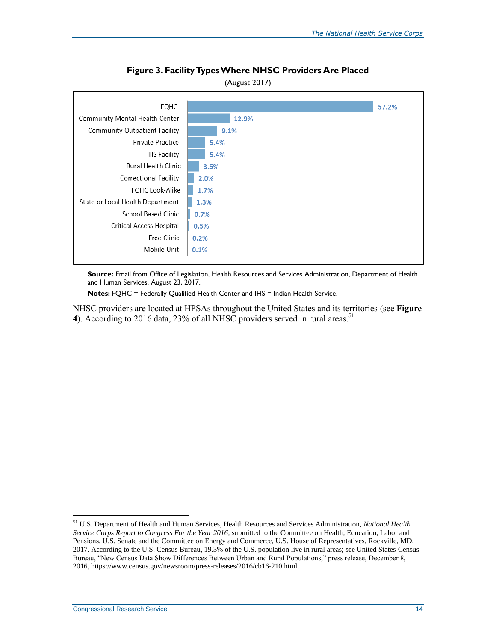<span id="page-16-0"></span>

#### **Figure 3. Facility Types Where NHSC Providers Are Placed**

and Human Services, August 23, 2017.

**Notes:** FQHC = Federally Qualified Health Center and IHS = Indian Health Service.

NHSC providers are located at HPSAs throughout the United States and its territories (see **[Figure](#page-17-0)  [4](#page-17-0)**). According to 2016 data, 23% of all NHSC providers served in rural areas.<sup>51</sup>

<sup>51</sup> U.S. Department of Health and Human Services, Health Resources and Services Administration, *National Health Service Corps Report to Congress For the Year 2016*, submitted to the Committee on Health, Education, Labor and Pensions, U.S. Senate and the Committee on Energy and Commerce, U.S. House of Representatives, Rockville, MD, 2017. According to the U.S. Census Bureau, 19.3% of the U.S. population live in rural areas; see United States Census Bureau, "New Census Data Show Differences Between Urban and Rural Populations," press release, December 8, 2016, https://www.census.gov/newsroom/press-releases/2016/cb16-210.html.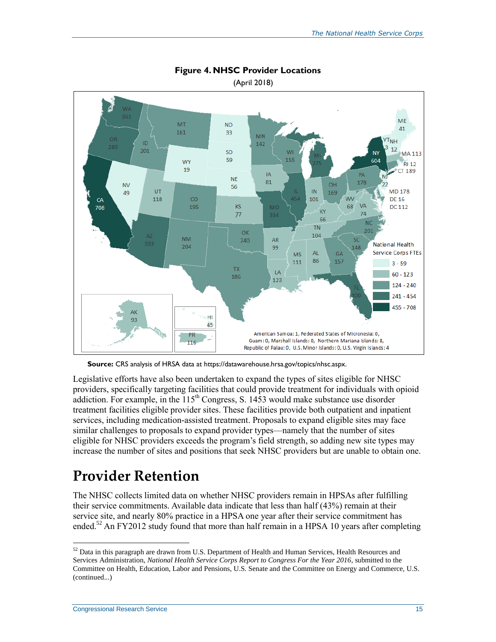<span id="page-17-0"></span>

#### **Figure 4. NHSC Provider Locations**

(April 2018)

**Source:** CRS analysis of HRSA data at https://datawarehouse.hrsa.gov/topics/nhsc.aspx.

Legislative efforts have also been undertaken to expand the types of sites eligible for NHSC providers, specifically targeting facilities that could provide treatment for individuals with opioid addiction. For example, in the  $115<sup>th</sup>$  Congress, [S. 1453](http://www.congress.gov/cgi-lis/bdquery/z?d115:S.1453:) would make substance use disorder treatment facilities eligible provider sites. These facilities provide both outpatient and inpatient services, including medication-assisted treatment. Proposals to expand eligible sites may face similar challenges to proposals to expand provider types—namely that the number of sites eligible for NHSC providers exceeds the program's field strength, so adding new site types may increase the number of sites and positions that seek NHSC providers but are unable to obtain one.

## **Provider Retention**

The NHSC collects limited data on whether NHSC providers remain in HPSAs after fulfilling their service commitments. Available data indicate that less than half (43%) remain at their service site, and nearly 80% practice in a HPSA one year after their service commitment has ended.<sup>52</sup> An FY2012 study found that more than half remain in a HPSA 10 years after completing

<sup>&</sup>lt;sup>52</sup> Data in this paragraph are drawn from U.S. Department of Health and Human Services, Health Resources and Services Administration, *National Health Service Corps Report to Congress For the Year 2016*, submitted to the Committee on Health, Education, Labor and Pensions, U.S. Senate and the Committee on Energy and Commerce, U.S. (continued...)